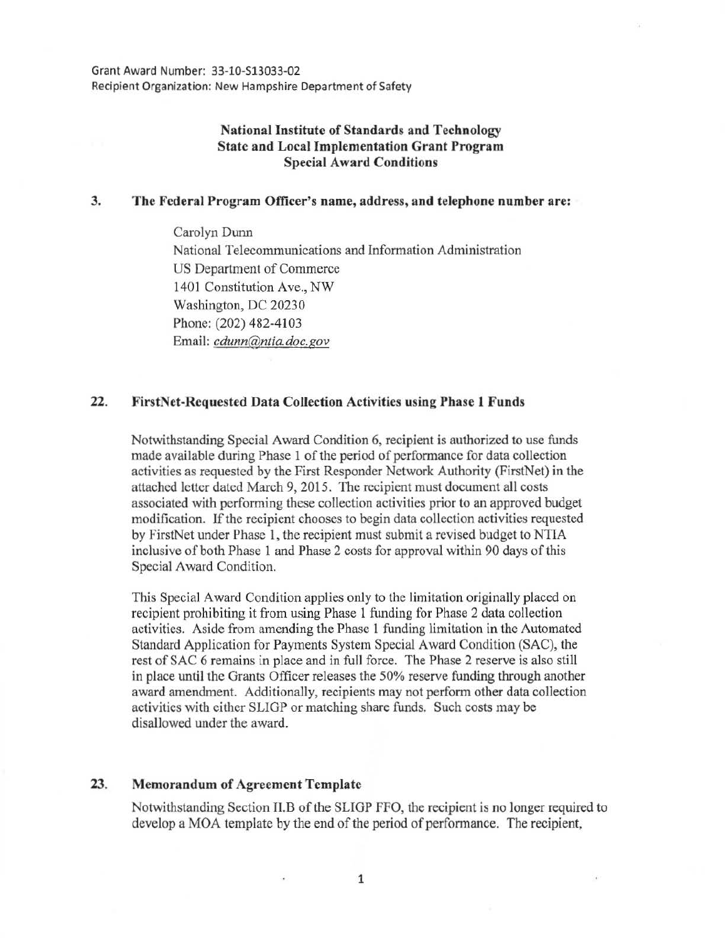# National Institute of Standards and Technology State and Local Implementation Grant Program Special Award Conditions

#### 3. The Federal Program Officer's name, address, and telephone number are:

Carolyn Dunn National Telecommunications and Information Administration US Department of Commerce 1401 Constitution Ave., NW Washington, DC 20230 Phone: (202) 482-4103 Email: *cdunn@ntia.doc.gov* 

## 22. FirstNet-Requested Data Collection Activities using Phase 1 Funds

Notwithstanding Special Award Condition 6, recipient is authorized to use funds made available during Phase 1 of the period of performance for data collection activities as requested by the First Responder Network Authority (FirstNet) in the attached letter dated March 9, 2015. The recipient must document all costs associated with performing these collection activities prior to an approved budget modification. If the recipient chooses to begin data collection activities requested by FirstNet under Phase 1, the recipient must submit a revised budget to NTIA inclusive of both Phase 1 and Phase 2 costs for approval within 90 days of this Special Award Condition.

This Special Award Condition applies only to the limitation originally placed on recipient prohibiting it from using Phase 1 funding for Phase 2 data collection activities. Aside from amending the Phase 1 funding limitation in the Automated Standard Application for Payments System Special Award Condition (SAC), the rest of SAC 6 remains in place and in full force. The Phase 2 reserve is also still in place until the Grants Officer releases the 50% reserve funding through another award amendment. Additionally, recipients may not perform other data collection activities with either SLIGP or matching share funds. Such costs may be disallowed under the award.

## 23. Memorandum of Agreement Template

Notwithstanding Section II.B of the SLIGP FFO, the recipient is no longer required to develop a MOA template by the end of the period of performance. The recipient,

1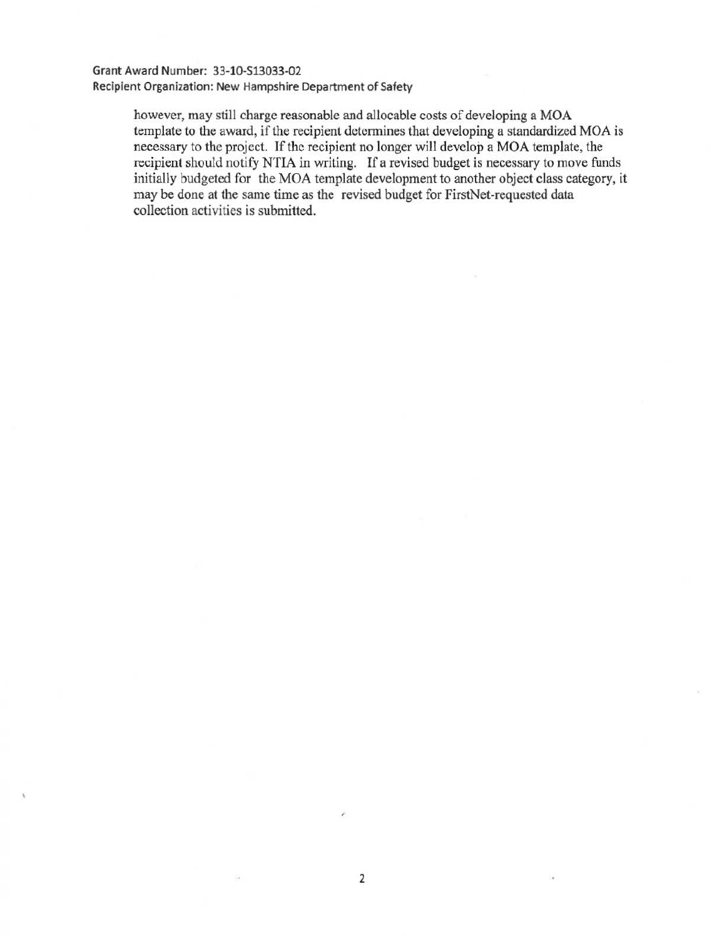#### Grant Award Number: 33-10-513033-02 Recipient Organization: New Hampshire Department of Safety

however, may still charge reasonable and allocable costs of developing a MOA template to the award, if the recipient detennines that developing a standardized MOA is necessary to the project. If the recipient no longer will develop a MOA template, the recipient should notify NTIA in writing. If a revised budget is necessary to move funds initially budgeted for the MOA template development to another object class category, it may be done at the same time as the revised budget for FirstNet-requested data collection activities is submitted.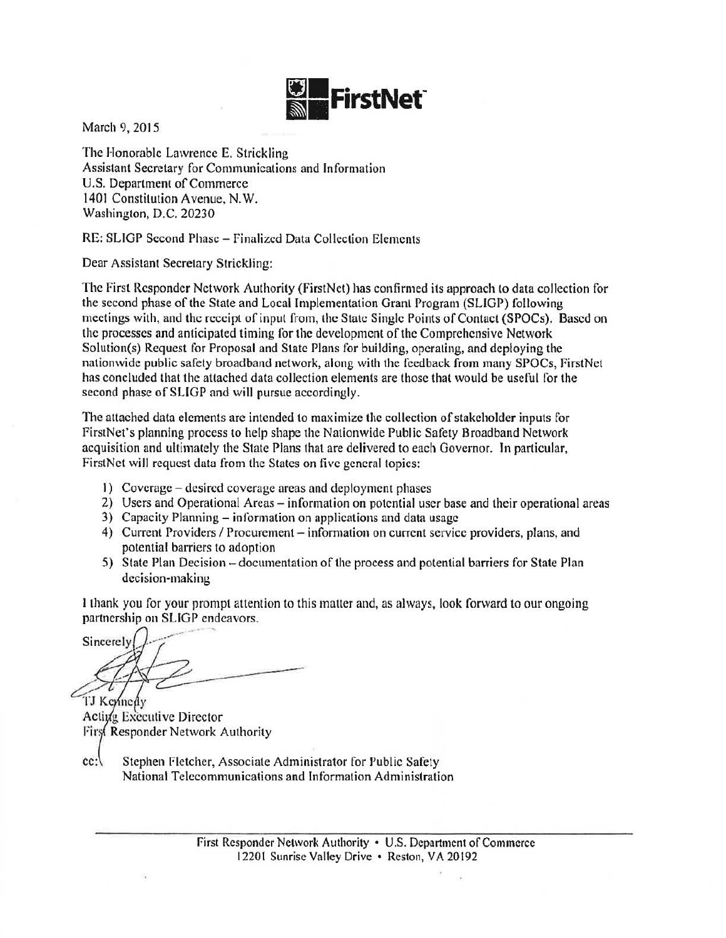

March 9, 2015

The Honorable Lawrence E. Strickling Assistant Secretary for Communications and Information U.S. Department of Commerce 1401 Constitution Avenue, N.W. Washington, D.C. 20230

RE: SLIGP Second Phase- finalized Data Collection Elements

Dear Assistant Secretary Strickling:

The First Responder Network Authority (FirstNet) has confirmed its approach to data collection for the second phase of the State and Local Implementation Grant Program (SLIGP) following meetings with, and the receipt of input from, the State Single Points of Contact (SPOCs). Based on the processes and anticipated timing for the development of the Comprehensive Network Solution(s) Request for Proposal and State Plans for building, operating, and deploying the nationwide public safety broadband network, along with the feedback from many SPOCs, FirstNet has concluded that the attached data collection elements are those that would be useful for the second phase of SLIGP and will pursue accordingly.

The attached data elements are intended to maximize the collection of stakeholder inputs for f irstNet's planning process to help shape the Nationwide Public Safety Broadband Network acquisition and ultimately the State Plans that are delivered to each Governor. In particular, FirstNct will request data from the States on five general topics:

- I) Coverage desired coverage areas and deployment phases
- 2) Users and Operational Areas information on potential user base and their operational areas
- 3) Capacity Planning- information on npplications and data usage
- 4) Current Providers / Procurement information on current service providers, plans, and potential barriers to adoption
- 5) State Plan Decision -documentation of the process and potential barriers for State Plan decision-making

I thank you for your prompt attention to this matter and, as always, look forward to our ongoing partnership on SLIGP endeavors.

Sincerely

TJ Keynedy Active Executive Director First Responder Network Authority

cc: Stephen Fletcher, Associate Administrator for Public Safety National Telecommunications and Information Administration